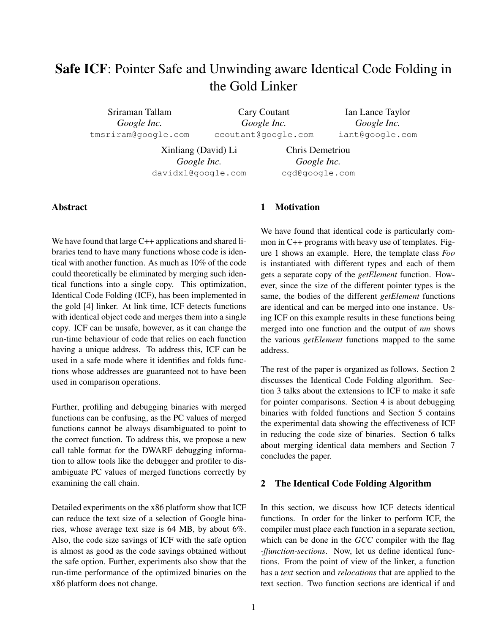# Safe ICF: Pointer Safe and Unwinding aware Identical Code Folding in the Gold Linker

Sriraman Tallam *Google Inc.* tmsriram@google.com

Cary Coutant *Google Inc.* ccoutant@google.com

Ian Lance Taylor *Google Inc.* iant@google.com

Xinliang (David) Li *Google Inc.* davidxl@google.com

Chris Demetriou *Google Inc.* cgd@google.com

# Abstract

We have found that large C++ applications and shared libraries tend to have many functions whose code is identical with another function. As much as 10% of the code could theoretically be eliminated by merging such identical functions into a single copy. This optimization, Identical Code Folding (ICF), has been implemented in the gold [4] linker. At link time, ICF detects functions with identical object code and merges them into a single copy. ICF can be unsafe, however, as it can change the run-time behaviour of code that relies on each function having a unique address. To address this, ICF can be used in a safe mode where it identifies and folds functions whose addresses are guaranteed not to have been used in comparison operations.

Further, profiling and debugging binaries with merged functions can be confusing, as the PC values of merged functions cannot be always disambiguated to point to the correct function. To address this, we propose a new call table format for the DWARF debugging information to allow tools like the debugger and profiler to disambiguate PC values of merged functions correctly by examining the call chain.

Detailed experiments on the x86 platform show that ICF can reduce the text size of a selection of Google binaries, whose average text size is 64 MB, by about 6%. Also, the code size savings of ICF with the safe option is almost as good as the code savings obtained without the safe option. Further, experiments also show that the run-time performance of the optimized binaries on the x86 platform does not change.

# 1 Motivation

We have found that identical code is particularly common in C++ programs with heavy use of templates. Figure 1 shows an example. Here, the template class *Foo* is instantiated with different types and each of them gets a separate copy of the *getElement* function. However, since the size of the different pointer types is the same, the bodies of the different *getElement* functions are identical and can be merged into one instance. Using ICF on this example results in these functions being merged into one function and the output of *nm* shows the various *getElement* functions mapped to the same address.

The rest of the paper is organized as follows. Section 2 discusses the Identical Code Folding algorithm. Section 3 talks about the extensions to ICF to make it safe for pointer comparisons. Section 4 is about debugging binaries with folded functions and Section 5 contains the experimental data showing the effectiveness of ICF in reducing the code size of binaries. Section 6 talks about merging identical data members and Section 7 concludes the paper.

## 2 The Identical Code Folding Algorithm

In this section, we discuss how ICF detects identical functions. In order for the linker to perform ICF, the compiler must place each function in a separate section, which can be done in the *GCC* compiler with the flag *-ffunction-sections*. Now, let us define identical functions. From the point of view of the linker, a function has a *text* section and *relocations* that are applied to the text section. Two function sections are identical if and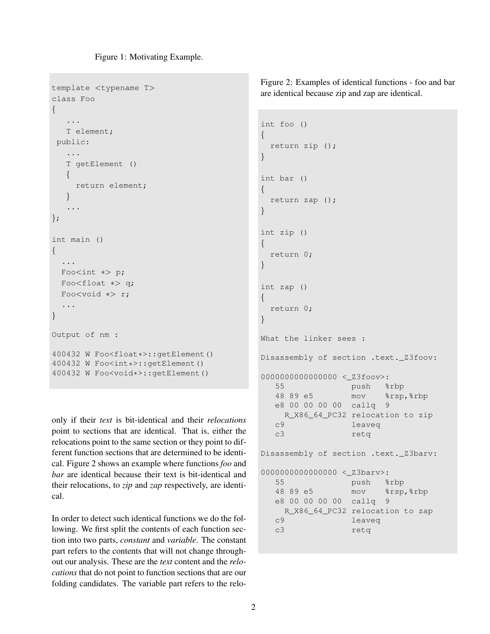Figure 1: Motivating Example.

```
template <typename T>
class Foo
{
   ...
  T element;
public:
   ...
   T getElement ()
  \{return element;
  }
   ...
};
int main ()
{
  ...
 Foo<int ∗> p;
 Foo<float ∗> q;
 Foo<void ∗> r;
  ...
}
Output of nm :
400432 W Foo<float*>::getElement()
400432 W Foo<int*>::getElement()
400432 W Foo<void*>::getElement()
```
only if their *text* is bit-identical and their *relocations* point to sections that are identical. That is, either the relocations point to the same section or they point to different function sections that are determined to be identical. Figure 2 shows an example where functions *foo* and *bar* are identical because their text is bit-identical and their relocations, to *zip* and *zap* respectively, are identical.

In order to detect such identical functions we do the following. We first split the contents of each function section into two parts, *constant* and *variable*. The constant part refers to the contents that will not change throughout our analysis. These are the *text* content and the *relocations* that do not point to function sections that are our folding candidates. The variable part refers to the reloFigure 2: Examples of identical functions - foo and bar are identical because zip and zap are identical.

```
int foo ()
{
 return zip ();
}
int bar ()
{
 return zap ();
}
int zip ()
{
 return 0;
}
int zap ()
{
 return 0;
}
What the linker sees :
Disassembly of section .text._Z3foov:
0000000000000000 <_Z3foov>:
  55 push %rbp
  48 89 e5 mov %rsp,%rbp
  e8 00 00 00 00 callq 9
   R_X86_64_PC32 relocation to zip
  c9 leaveq
  c3 retq
Disassembly of section .text._Z3barv:
00000000000000000 < Z3barv>:
  55 push %rbp
  48 89 e5 mov %rsp,%rbp
  e8 00 00 00 00 callq 9
   R_X86_64_PC32 relocation to zap
  c9 leaveq
  c3 retq
```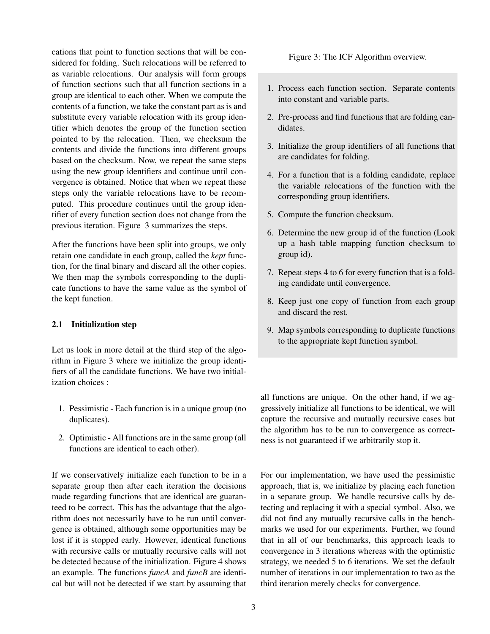cations that point to function sections that will be considered for folding. Such relocations will be referred to as variable relocations. Our analysis will form groups of function sections such that all function sections in a group are identical to each other. When we compute the contents of a function, we take the constant part as is and substitute every variable relocation with its group identifier which denotes the group of the function section pointed to by the relocation. Then, we checksum the contents and divide the functions into different groups based on the checksum. Now, we repeat the same steps using the new group identifiers and continue until convergence is obtained. Notice that when we repeat these steps only the variable relocations have to be recomputed. This procedure continues until the group identifier of every function section does not change from the previous iteration. Figure 3 summarizes the steps.

After the functions have been split into groups, we only retain one candidate in each group, called the *kept* function, for the final binary and discard all the other copies. We then map the symbols corresponding to the duplicate functions to have the same value as the symbol of the kept function.

#### 2.1 Initialization step

Let us look in more detail at the third step of the algorithm in Figure 3 where we initialize the group identifiers of all the candidate functions. We have two initialization choices :

- 1. Pessimistic Each function is in a unique group (no duplicates).
- 2. Optimistic All functions are in the same group (all functions are identical to each other).

If we conservatively initialize each function to be in a separate group then after each iteration the decisions made regarding functions that are identical are guaranteed to be correct. This has the advantage that the algorithm does not necessarily have to be run until convergence is obtained, although some opportunities may be lost if it is stopped early. However, identical functions with recursive calls or mutually recursive calls will not be detected because of the initialization. Figure 4 shows an example. The functions *funcA* and *funcB* are identical but will not be detected if we start by assuming that Figure 3: The ICF Algorithm overview.

- 1. Process each function section. Separate contents into constant and variable parts.
- 2. Pre-process and find functions that are folding candidates.
- 3. Initialize the group identifiers of all functions that are candidates for folding.
- 4. For a function that is a folding candidate, replace the variable relocations of the function with the corresponding group identifiers.
- 5. Compute the function checksum.
- 6. Determine the new group id of the function (Look up a hash table mapping function checksum to group id).
- 7. Repeat steps 4 to 6 for every function that is a folding candidate until convergence.
- 8. Keep just one copy of function from each group and discard the rest.
- 9. Map symbols corresponding to duplicate functions to the appropriate kept function symbol.

all functions are unique. On the other hand, if we aggressively initialize all functions to be identical, we will capture the recursive and mutually recursive cases but the algorithm has to be run to convergence as correctness is not guaranteed if we arbitrarily stop it.

For our implementation, we have used the pessimistic approach, that is, we initialize by placing each function in a separate group. We handle recursive calls by detecting and replacing it with a special symbol. Also, we did not find any mutually recursive calls in the benchmarks we used for our experiments. Further, we found that in all of our benchmarks, this approach leads to convergence in 3 iterations whereas with the optimistic strategy, we needed 5 to 6 iterations. We set the default number of iterations in our implementation to two as the third iteration merely checks for convergence.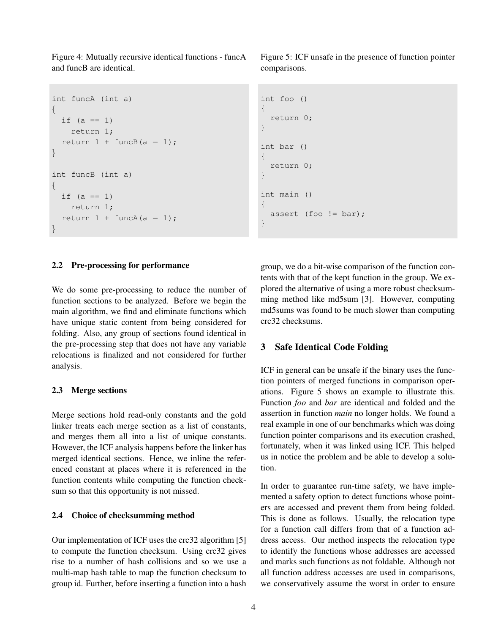Figure 4: Mutually recursive identical functions - funcA and funcB are identical.

```
int funcA (int a)
{
 if (a == 1)return 1;
  return 1 + \text{funcB}(a - 1);
}
int funcB (int a)
{
  if (a == 1)return 1;
  return 1 + \text{funcA}(a - 1);
}
```
#### 2.2 Pre-processing for performance

We do some pre-processing to reduce the number of function sections to be analyzed. Before we begin the main algorithm, we find and eliminate functions which have unique static content from being considered for folding. Also, any group of sections found identical in the pre-processing step that does not have any variable relocations is finalized and not considered for further analysis.

#### 2.3 Merge sections

Merge sections hold read-only constants and the gold linker treats each merge section as a list of constants, and merges them all into a list of unique constants. However, the ICF analysis happens before the linker has merged identical sections. Hence, we inline the referenced constant at places where it is referenced in the function contents while computing the function checksum so that this opportunity is not missed.

#### 2.4 Choice of checksumming method

Our implementation of ICF uses the crc32 algorithm [5] to compute the function checksum. Using crc32 gives rise to a number of hash collisions and so we use a multi-map hash table to map the function checksum to group id. Further, before inserting a function into a hash Figure 5: ICF unsafe in the presence of function pointer comparisons.

```
int foo ()
{
  return 0;
}
int bar ()
{
  return 0;
}
int main ()
{
  assert (foo != bar);
}
```
group, we do a bit-wise comparison of the function contents with that of the kept function in the group. We explored the alternative of using a more robust checksumming method like md5sum [3]. However, computing md5sums was found to be much slower than computing crc32 checksums.

#### 3 Safe Identical Code Folding

ICF in general can be unsafe if the binary uses the function pointers of merged functions in comparison operations. Figure 5 shows an example to illustrate this. Function *foo* and *bar* are identical and folded and the assertion in function *main* no longer holds. We found a real example in one of our benchmarks which was doing function pointer comparisons and its execution crashed, fortunately, when it was linked using ICF. This helped us in notice the problem and be able to develop a solution.

In order to guarantee run-time safety, we have implemented a safety option to detect functions whose pointers are accessed and prevent them from being folded. This is done as follows. Usually, the relocation type for a function call differs from that of a function address access. Our method inspects the relocation type to identify the functions whose addresses are accessed and marks such functions as not foldable. Although not all function address accesses are used in comparisons, we conservatively assume the worst in order to ensure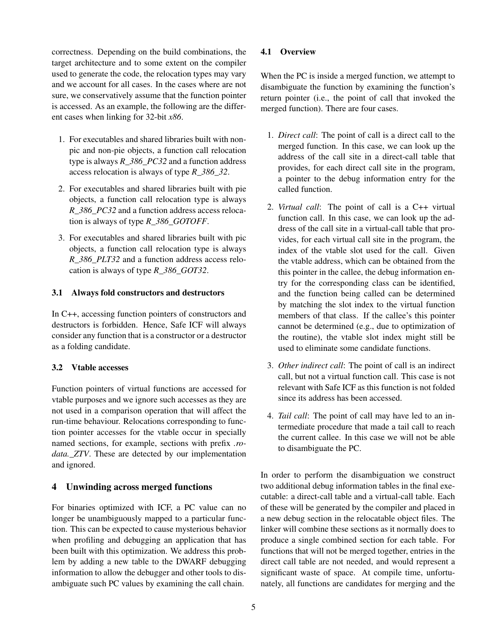correctness. Depending on the build combinations, the target architecture and to some extent on the compiler used to generate the code, the relocation types may vary and we account for all cases. In the cases where are not sure, we conservatively assume that the function pointer is accessed. As an example, the following are the different cases when linking for 32-bit *x86*.

- 1. For executables and shared libraries built with nonpic and non-pie objects, a function call relocation type is always *R\_386\_PC32* and a function address access relocation is always of type *R\_386\_32*.
- 2. For executables and shared libraries built with pie objects, a function call relocation type is always *R\_386\_PC32* and a function address access relocation is always of type *R\_386\_GOTOFF*.
- 3. For executables and shared libraries built with pic objects, a function call relocation type is always *R\_386\_PLT32* and a function address access relocation is always of type *R\_386\_GOT32*.

#### 3.1 Always fold constructors and destructors

In C++, accessing function pointers of constructors and destructors is forbidden. Hence, Safe ICF will always consider any function that is a constructor or a destructor as a folding candidate.

## 3.2 Vtable accesses

Function pointers of virtual functions are accessed for vtable purposes and we ignore such accesses as they are not used in a comparison operation that will affect the run-time behaviour. Relocations corresponding to function pointer accesses for the vtable occur in specially named sections, for example, sections with prefix *.rodata.\_ZTV*. These are detected by our implementation and ignored.

## 4 Unwinding across merged functions

For binaries optimized with ICF, a PC value can no longer be unambiguously mapped to a particular function. This can be expected to cause mysterious behavior when profiling and debugging an application that has been built with this optimization. We address this problem by adding a new table to the DWARF debugging information to allow the debugger and other tools to disambiguate such PC values by examining the call chain.

#### 4.1 Overview

When the PC is inside a merged function, we attempt to disambiguate the function by examining the function's return pointer (i.e., the point of call that invoked the merged function). There are four cases.

- 1. *Direct call*: The point of call is a direct call to the merged function. In this case, we can look up the address of the call site in a direct-call table that provides, for each direct call site in the program, a pointer to the debug information entry for the called function.
- 2. *Virtual call*: The point of call is a C++ virtual function call. In this case, we can look up the address of the call site in a virtual-call table that provides, for each virtual call site in the program, the index of the vtable slot used for the call. Given the vtable address, which can be obtained from the this pointer in the callee, the debug information entry for the corresponding class can be identified, and the function being called can be determined by matching the slot index to the virtual function members of that class. If the callee's this pointer cannot be determined (e.g., due to optimization of the routine), the vtable slot index might still be used to eliminate some candidate functions.
- 3. *Other indirect call*: The point of call is an indirect call, but not a virtual function call. This case is not relevant with Safe ICF as this function is not folded since its address has been accessed.
- 4. *Tail call*: The point of call may have led to an intermediate procedure that made a tail call to reach the current callee. In this case we will not be able to disambiguate the PC.

In order to perform the disambiguation we construct two additional debug information tables in the final executable: a direct-call table and a virtual-call table. Each of these will be generated by the compiler and placed in a new debug section in the relocatable object files. The linker will combine these sections as it normally does to produce a single combined section for each table. For functions that will not be merged together, entries in the direct call table are not needed, and would represent a significant waste of space. At compile time, unfortunately, all functions are candidates for merging and the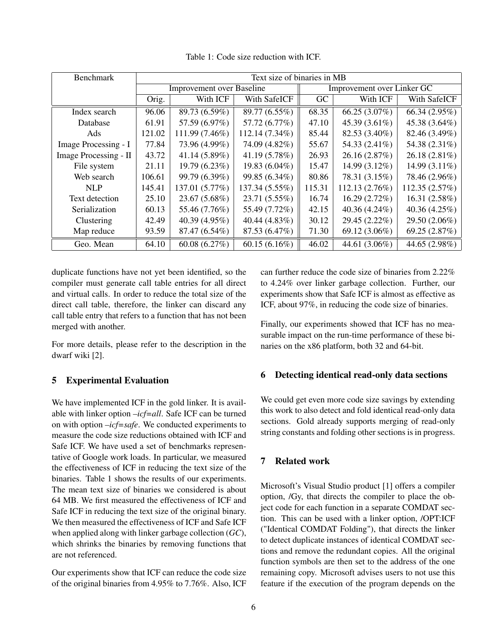| <b>Benchmark</b>      | Text size of binaries in MB      |                  |                            |        |                  |                  |
|-----------------------|----------------------------------|------------------|----------------------------|--------|------------------|------------------|
|                       | <b>Improvement over Baseline</b> |                  | Improvement over Linker GC |        |                  |                  |
|                       | Orig.                            | With ICF         | With SafeICF               | GC     | With ICF         | With SafeICF     |
| Index search          | 96.06                            | 89.73 (6.59%)    | 89.77 (6.55%)              | 68.35  | 66.25 $(3.07\%)$ | 66.34 $(2.95\%)$ |
| Database              | 61.91                            | 57.59 (6.97%)    | 57.72 (6.77%)              | 47.10  | 45.39 $(3.61\%)$ | 45.38 $(3.64\%)$ |
| Ads                   | 121.02                           | 111.99 (7.46%)   | 112.14 (7.34%)             | 85.44  | 82.53 (3.40%)    | 82.46 (3.49%)    |
| Image Processing - I  | 77.84                            | 73.96 (4.99%)    | 74.09 (4.82%)              | 55.67  | 54.33 (2.41%)    | 54.38 (2.31%)    |
| Image Processing - II | 43.72                            | 41.14 (5.89%)    | 41.19 (5.78%)              | 26.93  | 26.16 (2.87%)    | $26.18(2.81\%)$  |
| File system           | 21.11                            | 19.79 (6.23%)    | 19.83 (6.04%)              | 15.47  | 14.99 (3.12%)    | 14.99 $(3.11\%)$ |
| Web search            | 106.61                           | 99.79 (6.39%)    | 99.85 (6.34%)              | 80.86  | 78.31 (3.15%)    | 78.46 (2.96%)    |
| <b>NLP</b>            | 145.41                           | 137.01 (5.77%)   | 137.34 (5.55%)             | 115.31 | 112.13 (2.76%)   | 112.35(2.57%)    |
| Text detection        | 25.10                            | 23.67 (5.68%)    | 23.71 (5.55%)              | 16.74  | 16.29 (2.72%)    | 16.31 $(2.58\%)$ |
| Serialization         | 60.13                            | 55.46 (7.76%)    | 55.49 (7.72%)              | 42.15  | 40.36 (4.24%)    | 40.36 $(4.25\%)$ |
| Clustering            | 42.49                            | 40.39 $(4.95\%)$ | 40.44 (4.83%)              | 30.12  | 29.45 (2.22%)    | $29.50(2.06\%)$  |
| Map reduce            | 93.59                            | 87.47 (6.54%)    | 87.53 (6.47%)              | 71.30  | 69.12 (3.06%)    | 69.25 $(2.87%)$  |
| Geo. Mean             | 64.10                            | 60.08 $(6.27\%)$ | $60.15(6.16\%)$            | 46.02  | 44.61 (3.06%)    | 44.65 $(2.98\%)$ |

Table 1: Code size reduction with ICF.

duplicate functions have not yet been identified, so the compiler must generate call table entries for all direct and virtual calls. In order to reduce the total size of the direct call table, therefore, the linker can discard any call table entry that refers to a function that has not been merged with another.

For more details, please refer to the description in the dwarf wiki [2].

## 5 Experimental Evaluation

We have implemented ICF in the gold linker. It is available with linker option *–icf=all*. Safe ICF can be turned on with option *–icf=safe*. We conducted experiments to measure the code size reductions obtained with ICF and Safe ICF. We have used a set of benchmarks representative of Google work loads. In particular, we measured the effectiveness of ICF in reducing the text size of the binaries. Table 1 shows the results of our experiments. The mean text size of binaries we considered is about 64 MB. We first measured the effectiveness of ICF and Safe ICF in reducing the text size of the original binary. We then measured the effectiveness of ICF and Safe ICF when applied along with linker garbage collection (*GC*), which shrinks the binaries by removing functions that are not referenced.

Our experiments show that ICF can reduce the code size of the original binaries from 4.95% to 7.76%. Also, ICF can further reduce the code size of binaries from 2.22% to 4.24% over linker garbage collection. Further, our experiments show that Safe ICF is almost as effective as ICF, about 97%, in reducing the code size of binaries.

Finally, our experiments showed that ICF has no measurable impact on the run-time performance of these binaries on the x86 platform, both 32 and 64-bit.

## 6 Detecting identical read-only data sections

We could get even more code size savings by extending this work to also detect and fold identical read-only data sections. Gold already supports merging of read-only string constants and folding other sections is in progress.

## 7 Related work

Microsoft's Visual Studio product [1] offers a compiler option, /Gy, that directs the compiler to place the object code for each function in a separate COMDAT section. This can be used with a linker option, /OPT:ICF ("Identical COMDAT Folding"), that directs the linker to detect duplicate instances of identical COMDAT sections and remove the redundant copies. All the original function symbols are then set to the address of the one remaining copy. Microsoft advises users to not use this feature if the execution of the program depends on the